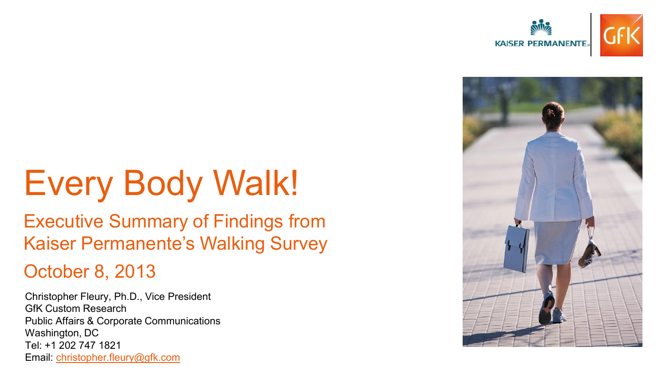



# Every Body Walk!

### Executive Summary of Findings from Kaiser Permanente's Walking Survey

#### October 8, 2013

Christopher Fleury, Ph.D., Vice President GfK Custom Research Public Affairs & Corporate Communications Washington, DC Tel: +1 202 747 1821 Email: [christopher.fleury@gfk.com](mailto:christopher.fleury@gfk.com)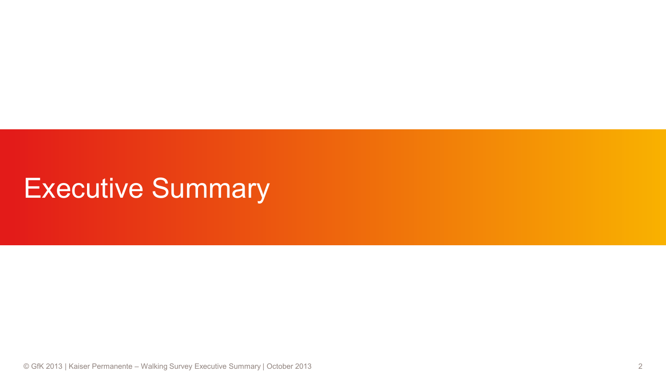## Executive Summary

© GfK 2013 | Kaiser Permanente – Walking Survey Executive Summary | October 2013 2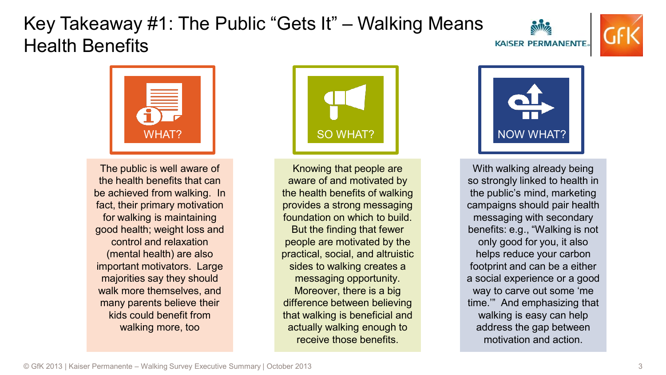#### Key Takeaway #1: The Public "Gets It" – Walking Means Health Benefits





The public is well aware of the health benefits that can be achieved from walking. In fact, their primary motivation for walking is maintaining good health; weight loss and control and relaxation (mental health) are also important motivators. Large majorities say they should walk more themselves, and many parents believe their kids could benefit from walking more, too



Knowing that people are aware of and motivated by the health benefits of walking provides a strong messaging foundation on which to build. But the finding that fewer people are motivated by the practical, social, and altruistic sides to walking creates a messaging opportunity. Moreover, there is a big difference between believing that walking is beneficial and actually walking enough to receive those benefits.

With walking already being so strongly linked to health in the public's mind, marketing campaigns should pair health messaging with secondary benefits: e.g., "Walking is not only good for you, it also helps reduce your carbon footprint and can be a either a social experience or a good way to carve out some 'me time.'" And emphasizing that walking is easy can help address the gap between motivation and action.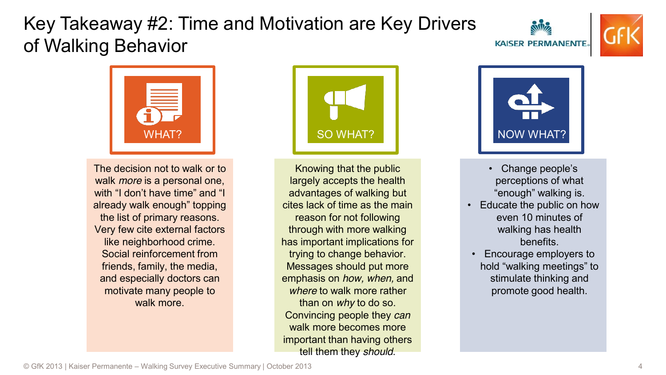#### Key Takeaway #2: Time and Motivation are Key Drivers of Walking Behavior







The decision not to walk or to walk *more* is a personal one, with "I don't have time" and "I already walk enough" topping the list of primary reasons. Very few cite external factors like neighborhood crime. Social reinforcement from friends, family, the media, and especially doctors can motivate many people to walk more.



Knowing that the public largely accepts the health advantages of walking but cites lack of time as the main reason for not following through with more walking has important implications for trying to change behavior. Messages should put more emphasis on *how, when,* and *where* to walk more rather than on *why* to do so. Convincing people they *can* walk more becomes more important than having others tell them they *should*.



- Change people's perceptions of what "enough" walking is.
- Educate the public on how even 10 minutes of walking has health benefits.
- Encourage employers to hold "walking meetings" to stimulate thinking and promote good health.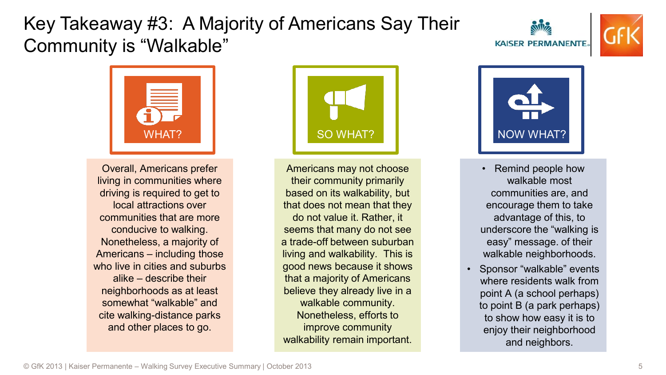#### Key Takeaway #3: A Majority of Americans Say Their Community is "Walkable"







Overall, Americans prefer living in communities where driving is required to get to local attractions over communities that are more conducive to walking. Nonetheless, a majority of Americans – including those who live in cities and suburbs alike – describe their neighborhoods as at least somewhat "walkable" and cite walking-distance parks and other places to go.



Americans may not choose their community primarily based on its walkability, but that does not mean that they do not value it. Rather, it seems that many do not see a trade-off between suburban living and walkability. This is good news because it shows that a majority of Americans believe they already live in a walkable community. Nonetheless, efforts to improve community walkability remain important.



- Remind people how walkable most communities are, and encourage them to take advantage of this, to underscore the "walking is easy" message. of their walkable neighborhoods.
- Sponsor "walkable" events where residents walk from point A (a school perhaps) to point B (a park perhaps) to show how easy it is to enjoy their neighborhood and neighbors.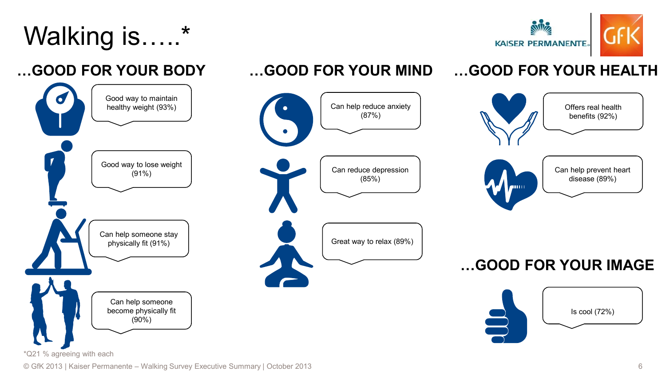# Walking is.....



benefits (92%)

disease (89%)

Is cool (72%)

**…GOOD FOR YOUR HEALTH**

anna a

#### **…GOOD FOR YOUR BODY**





#### © GfK 2013 | Kaiser Permanente – Walking Survey Executive Summary | October 2013 6